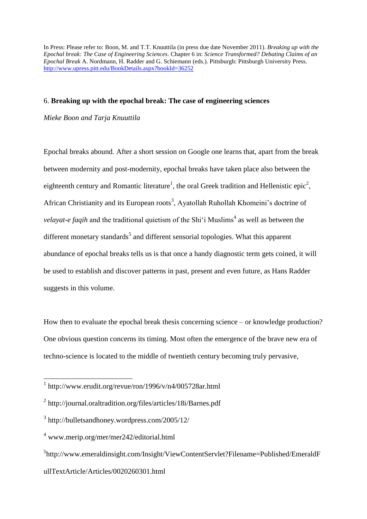In Press: Please refer to: Boon, M. and T.T. Knuuttila (in press due date November 2011). *Breaking up with the Epochal break: The Case of Engineering Sciences*. Chapter 6 in: *Science Transformed? Debating Claims of an Epochal Break* A. Nordmann, H. Radder and G. Schiemann (eds.). Pittsburgh: Pittsburgh University Press. <http://www.upress.pitt.edu/BookDetails.aspx?bookId=36252>

# 6. **Breaking up with the epochal break: The case of engineering sciences**

*Mieke Boon and Tarja Knuuttila*

Epochal breaks abound. After a short session on Google one learns that, apart from the break between modernity and post-modernity, epochal breaks have taken place also between the eighteenth century and Romantic literature<sup>1</sup>, the oral Greek tradition and Hellenistic epic<sup>2</sup>, African Christianity and its European roots<sup>3</sup>, Ayatollah Ruhollah Khomeini's doctrine of *velayat-e faqih* and the traditional quietism of the Shi'i Muslims<sup>4</sup> as well as between the different monetary standards<sup>5</sup> and different sensorial topologies. What this apparent abundance of epochal breaks tells us is that once a handy diagnostic term gets coined, it will be used to establish and discover patterns in past, present and even future, as Hans Radder suggests in this volume.

How then to evaluate the epochal break thesis concerning science – or knowledge production? One obvious question concerns its timing. Most often the emergence of the brave new era of techno-science is located to the middle of twentieth century becoming truly pervasive,

<sup>1</sup> http://www.erudit.org/revue/ron/1996/v/n4/005728ar.html

<sup>&</sup>lt;sup>2</sup> http://journal.oraltradition.org/files/articles/18i/Barnes.pdf

<sup>3</sup> http://bulletsandhoney.wordpress.com/2005/12/

<sup>4</sup> www.merip.org/mer/mer242/editorial.html

<sup>&</sup>lt;sup>5</sup>http://www.emeraldinsight.com/Insight/ViewContentServlet?Filename=Published/EmeraldF ullTextArticle/Articles/0020260301.html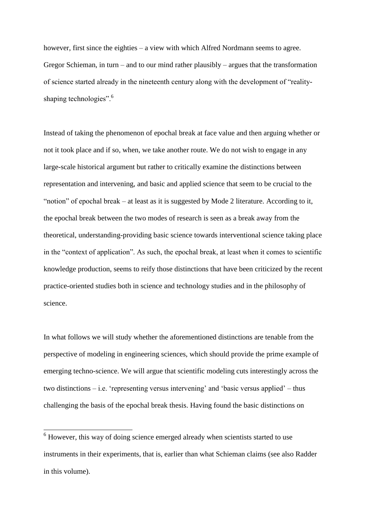however, first since the eighties – a view with which Alfred Nordmann seems to agree. Gregor Schieman, in turn – and to our mind rather plausibly – argues that the transformation of science started already in the nineteenth century along with the development of "realityshaping technologies". $6$ 

Instead of taking the phenomenon of epochal break at face value and then arguing whether or not it took place and if so, when, we take another route. We do not wish to engage in any large-scale historical argument but rather to critically examine the distinctions between representation and intervening, and basic and applied science that seem to be crucial to the ―notion‖ of epochal break – at least as it is suggested by Mode 2 literature. According to it, the epochal break between the two modes of research is seen as a break away from the theoretical, understanding-providing basic science towards interventional science taking place in the "context of application". As such, the epochal break, at least when it comes to scientific knowledge production, seems to reify those distinctions that have been criticized by the recent practice-oriented studies both in science and technology studies and in the philosophy of science.

In what follows we will study whether the aforementioned distinctions are tenable from the perspective of modeling in engineering sciences, which should provide the prime example of emerging techno-science. We will argue that scientific modeling cuts interestingly across the two distinctions  $-$  i.e. 'representing versus intervening' and 'basic versus applied'  $-$  thus challenging the basis of the epochal break thesis. Having found the basic distinctions on

 $6$  However, this way of doing science emerged already when scientists started to use instruments in their experiments, that is, earlier than what Schieman claims (see also Radder in this volume).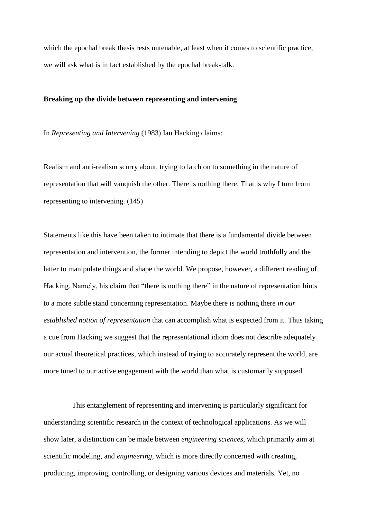which the epochal break thesis rests untenable, at least when it comes to scientific practice, we will ask what is in fact established by the epochal break-talk.

# **Breaking up the divide between representing and intervening**

In *Representing and Intervening* (1983) Ian Hacking claims:

Realism and anti-realism scurry about, trying to latch on to something in the nature of representation that will vanquish the other. There is nothing there. That is why I turn from representing to intervening. (145)

Statements like this have been taken to intimate that there is a fundamental divide between representation and intervention, the former intending to depict the world truthfully and the latter to manipulate things and shape the world. We propose, however, a different reading of Hacking. Namely, his claim that "there is nothing there" in the nature of representation hints to a more subtle stand concerning representation. Maybe there is nothing there *in our established notion of representation* that can accomplish what is expected from it. Thus taking a cue from Hacking we suggest that the representational idiom does not describe adequately our actual theoretical practices, which instead of trying to accurately represent the world, are more tuned to our active engagement with the world than what is customarily supposed.

This entanglement of representing and intervening is particularly significant for understanding scientific research in the context of technological applications. As we will show later, a distinction can be made between *engineering sciences*, which primarily aim at scientific modeling, and *engineering*, which is more directly concerned with creating, producing, improving, controlling, or designing various devices and materials. Yet, no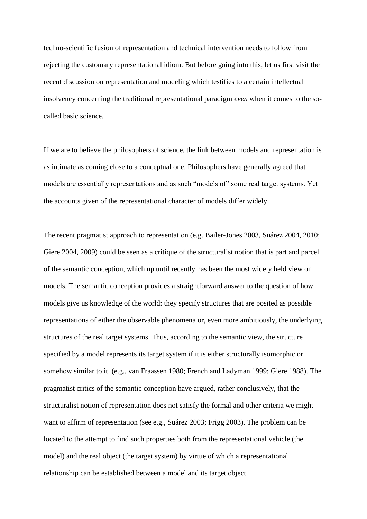techno-scientific fusion of representation and technical intervention needs to follow from rejecting the customary representational idiom. But before going into this, let us first visit the recent discussion on representation and modeling which testifies to a certain intellectual insolvency concerning the traditional representational paradigm *even* when it comes to the socalled basic science.

If we are to believe the philosophers of science, the link between models and representation is as intimate as coming close to a conceptual one. Philosophers have generally agreed that models are essentially representations and as such "models of" some real target systems. Yet the accounts given of the representational character of models differ widely.

The recent pragmatist approach to representation (e.g. Bailer-Jones 2003, Suárez 2004, 2010; Giere 2004, 2009) could be seen as a critique of the structuralist notion that is part and parcel of the semantic conception, which up until recently has been the most widely held view on models. The semantic conception provides a straightforward answer to the question of how models give us knowledge of the world: they specify structures that are posited as possible representations of either the observable phenomena or, even more ambitiously, the underlying structures of the real target systems. Thus, according to the semantic view, the structure specified by a model represents its target system if it is either structurally isomorphic or somehow similar to it. (e.g., van Fraassen 1980; French and Ladyman 1999; Giere 1988). The pragmatist critics of the semantic conception have argued, rather conclusively, that the structuralist notion of representation does not satisfy the formal and other criteria we might want to affirm of representation (see e.g., Suárez 2003; Frigg 2003). The problem can be located to the attempt to find such properties both from the representational vehicle (the model) and the real object (the target system) by virtue of which a representational relationship can be established between a model and its target object.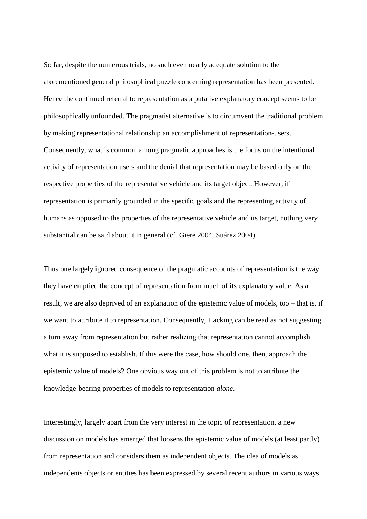So far, despite the numerous trials, no such even nearly adequate solution to the aforementioned general philosophical puzzle concerning representation has been presented. Hence the continued referral to representation as a putative explanatory concept seems to be philosophically unfounded. The pragmatist alternative is to circumvent the traditional problem by making representational relationship an accomplishment of representation-users. Consequently, what is common among pragmatic approaches is the focus on the intentional activity of representation users and the denial that representation may be based only on the respective properties of the representative vehicle and its target object. However, if representation is primarily grounded in the specific goals and the representing activity of humans as opposed to the properties of the representative vehicle and its target, nothing very substantial can be said about it in general (cf. Giere 2004, Suárez 2004).

Thus one largely ignored consequence of the pragmatic accounts of representation is the way they have emptied the concept of representation from much of its explanatory value. As a result, we are also deprived of an explanation of the epistemic value of models, too – that is, if we want to attribute it to representation. Consequently, Hacking can be read as not suggesting a turn away from representation but rather realizing that representation cannot accomplish what it is supposed to establish. If this were the case, how should one, then, approach the epistemic value of models? One obvious way out of this problem is not to attribute the knowledge-bearing properties of models to representation *alone*.

Interestingly, largely apart from the very interest in the topic of representation, a new discussion on models has emerged that loosens the epistemic value of models (at least partly) from representation and considers them as independent objects. The idea of models as independents objects or entities has been expressed by several recent authors in various ways.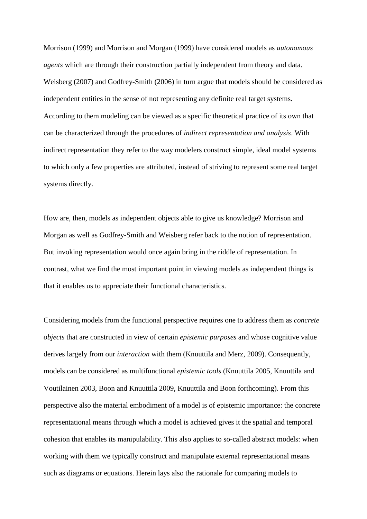Morrison (1999) and Morrison and Morgan (1999) have considered models as *autonomous agents* which are through their construction partially independent from theory and data. Weisberg (2007) and Godfrey-Smith (2006) in turn argue that models should be considered as independent entities in the sense of not representing any definite real target systems. According to them modeling can be viewed as a specific theoretical practice of its own that can be characterized through the procedures of *indirect representation and analysis*. With indirect representation they refer to the way modelers construct simple, ideal model systems to which only a few properties are attributed, instead of striving to represent some real target systems directly.

How are, then, models as independent objects able to give us knowledge? Morrison and Morgan as well as Godfrey-Smith and Weisberg refer back to the notion of representation. But invoking representation would once again bring in the riddle of representation. In contrast, what we find the most important point in viewing models as independent things is that it enables us to appreciate their functional characteristics.

Considering models from the functional perspective requires one to address them as *concrete objects* that are constructed in view of certain *epistemic purposes* and whose cognitive value derives largely from our *interaction* with them (Knuuttila and Merz, 2009). Consequently, models can be considered as multifunctional *epistemic tools* (Knuuttila 2005, Knuuttila and Voutilainen 2003, Boon and Knuuttila 2009, Knuuttila and Boon forthcoming). From this perspective also the material embodiment of a model is of epistemic importance: the concrete representational means through which a model is achieved gives it the spatial and temporal cohesion that enables its manipulability. This also applies to so-called abstract models: when working with them we typically construct and manipulate external representational means such as diagrams or equations. Herein lays also the rationale for comparing models to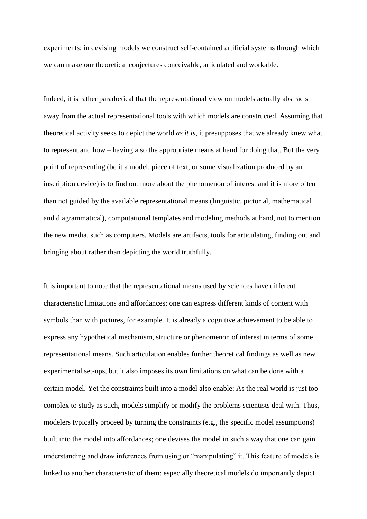experiments: in devising models we construct self-contained artificial systems through which we can make our theoretical conjectures conceivable, articulated and workable.

Indeed, it is rather paradoxical that the representational view on models actually abstracts away from the actual representational tools with which models are constructed. Assuming that theoretical activity seeks to depict the world *as it is,* it presupposes that we already knew what to represent and how – having also the appropriate means at hand for doing that. But the very point of representing (be it a model, piece of text, or some visualization produced by an inscription device) is to find out more about the phenomenon of interest and it is more often than not guided by the available representational means (linguistic, pictorial, mathematical and diagrammatical), computational templates and modeling methods at hand, not to mention the new media, such as computers. Models are artifacts, tools for articulating, finding out and bringing about rather than depicting the world truthfully.

It is important to note that the representational means used by sciences have different characteristic limitations and affordances; one can express different kinds of content with symbols than with pictures, for example. It is already a cognitive achievement to be able to express any hypothetical mechanism, structure or phenomenon of interest in terms of some representational means. Such articulation enables further theoretical findings as well as new experimental set-ups, but it also imposes its own limitations on what can be done with a certain model. Yet the constraints built into a model also enable: As the real world is just too complex to study as such, models simplify or modify the problems scientists deal with. Thus, modelers typically proceed by turning the constraints (e.g., the specific model assumptions) built into the model into affordances; one devises the model in such a way that one can gain understanding and draw inferences from using or "manipulating" it. This feature of models is linked to another characteristic of them: especially theoretical models do importantly depict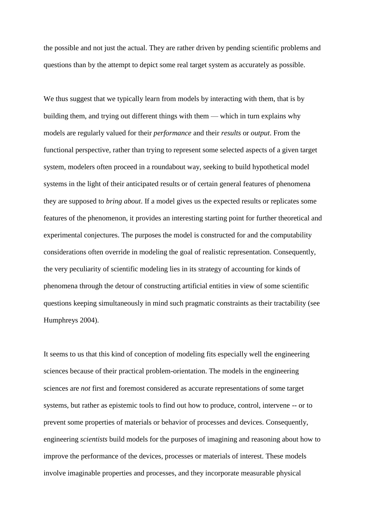the possible and not just the actual. They are rather driven by pending scientific problems and questions than by the attempt to depict some real target system as accurately as possible.

We thus suggest that we typically learn from models by interacting with them, that is by building them, and trying out different things with them — which in turn explains why models are regularly valued for their *performance* and their *results* or *output*. From the functional perspective, rather than trying to represent some selected aspects of a given target system, modelers often proceed in a roundabout way, seeking to build hypothetical model systems in the light of their anticipated results or of certain general features of phenomena they are supposed to *bring about*. If a model gives us the expected results or replicates some features of the phenomenon, it provides an interesting starting point for further theoretical and experimental conjectures. The purposes the model is constructed for and the computability considerations often override in modeling the goal of realistic representation. Consequently, the very peculiarity of scientific modeling lies in its strategy of accounting for kinds of phenomena through the detour of constructing artificial entities in view of some scientific questions keeping simultaneously in mind such pragmatic constraints as their tractability (see Humphreys 2004).

It seems to us that this kind of conception of modeling fits especially well the engineering sciences because of their practical problem-orientation. The models in the engineering sciences are *not* first and foremost considered as accurate representations of some target systems, but rather as epistemic tools to find out how to produce, control, intervene -- or to prevent some properties of materials or behavior of processes and devices. Consequently, engineering *scientists* build models for the purposes of imagining and reasoning about how to improve the performance of the devices, processes or materials of interest. These models involve imaginable properties and processes, and they incorporate measurable physical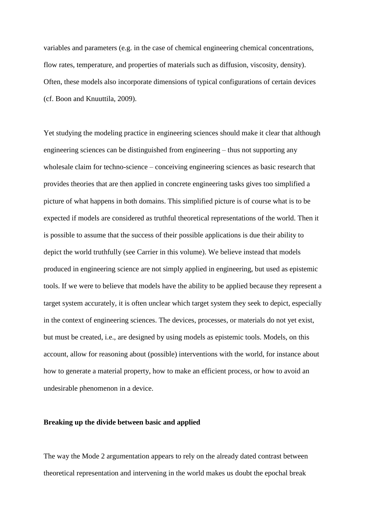variables and parameters (e.g. in the case of chemical engineering chemical concentrations, flow rates, temperature, and properties of materials such as diffusion, viscosity, density). Often, these models also incorporate dimensions of typical configurations of certain devices (cf. Boon and Knuuttila, 2009).

Yet studying the modeling practice in engineering sciences should make it clear that although engineering sciences can be distinguished from engineering – thus not supporting any wholesale claim for techno-science – conceiving engineering sciences as basic research that provides theories that are then applied in concrete engineering tasks gives too simplified a picture of what happens in both domains. This simplified picture is of course what is to be expected if models are considered as truthful theoretical representations of the world. Then it is possible to assume that the success of their possible applications is due their ability to depict the world truthfully (see Carrier in this volume). We believe instead that models produced in engineering science are not simply applied in engineering, but used as epistemic tools. If we were to believe that models have the ability to be applied because they represent a target system accurately, it is often unclear which target system they seek to depict, especially in the context of engineering sciences. The devices, processes, or materials do not yet exist, but must be created, i.e., are designed by using models as epistemic tools. Models, on this account, allow for reasoning about (possible) interventions with the world, for instance about how to generate a material property, how to make an efficient process, or how to avoid an undesirable phenomenon in a device.

### **Breaking up the divide between basic and applied**

The way the Mode 2 argumentation appears to rely on the already dated contrast between theoretical representation and intervening in the world makes us doubt the epochal break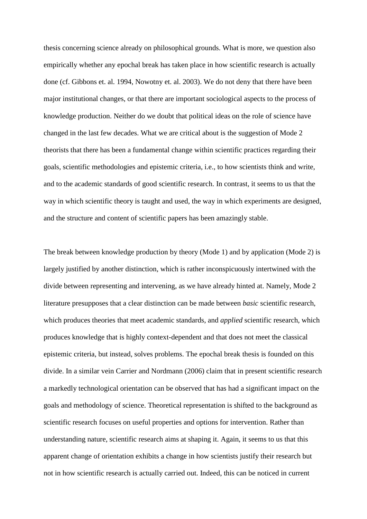thesis concerning science already on philosophical grounds. What is more, we question also empirically whether any epochal break has taken place in how scientific research is actually done (cf. Gibbons et. al. 1994, Nowotny et. al. 2003). We do not deny that there have been major institutional changes, or that there are important sociological aspects to the process of knowledge production. Neither do we doubt that political ideas on the role of science have changed in the last few decades. What we are critical about is the suggestion of Mode 2 theorists that there has been a fundamental change within scientific practices regarding their goals, scientific methodologies and epistemic criteria, i.e., to how scientists think and write, and to the academic standards of good scientific research. In contrast, it seems to us that the way in which scientific theory is taught and used, the way in which experiments are designed, and the structure and content of scientific papers has been amazingly stable.

The break between knowledge production by theory (Mode 1) and by application (Mode 2) is largely justified by another distinction, which is rather inconspicuously intertwined with the divide between representing and intervening, as we have already hinted at. Namely, Mode 2 literature presupposes that a clear distinction can be made between *basic* scientific research, which produces theories that meet academic standards, and *applied* scientific research, which produces knowledge that is highly context-dependent and that does not meet the classical epistemic criteria, but instead, solves problems. The epochal break thesis is founded on this divide. In a similar vein Carrier and Nordmann (2006) claim that in present scientific research a markedly technological orientation can be observed that has had a significant impact on the goals and methodology of science. Theoretical representation is shifted to the background as scientific research focuses on useful properties and options for intervention. Rather than understanding nature, scientific research aims at shaping it. Again, it seems to us that this apparent change of orientation exhibits a change in how scientists justify their research but not in how scientific research is actually carried out. Indeed, this can be noticed in current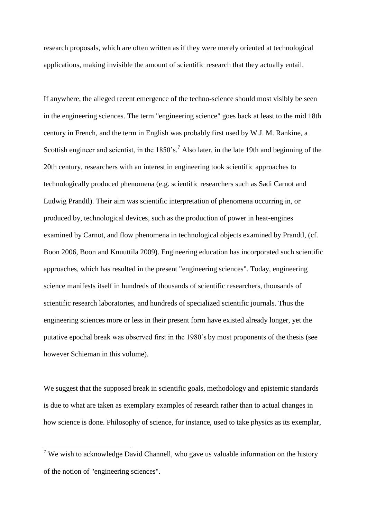research proposals, which are often written as if they were merely oriented at technological applications, making invisible the amount of scientific research that they actually entail.

If anywhere, the alleged recent emergence of the techno-science should most visibly be seen in the engineering sciences. The term "engineering science" goes back at least to the mid 18th century in French, and the term in English was probably first used by W.J. M. Rankine, a Scottish engineer and scientist, in the  $1850$ 's.<sup>7</sup> Also later, in the late 19th and beginning of the 20th century, researchers with an interest in engineering took scientific approaches to technologically produced phenomena (e.g. scientific researchers such as Sadi Carnot and Ludwig Prandtl). Their aim was scientific interpretation of phenomena occurring in, or produced by, technological devices, such as the production of power in heat-engines examined by Carnot, and flow phenomena in technological objects examined by Prandtl, (cf. Boon 2006, Boon and Knuuttila 2009). Engineering education has incorporated such scientific approaches, which has resulted in the present "engineering sciences". Today, engineering science manifests itself in hundreds of thousands of scientific researchers, thousands of scientific research laboratories, and hundreds of specialized scientific journals. Thus the engineering sciences more or less in their present form have existed already longer, yet the putative epochal break was observed first in the 1980's by most proponents of the thesis (see however Schieman in this volume).

We suggest that the supposed break in scientific goals, methodology and epistemic standards is due to what are taken as exemplary examples of research rather than to actual changes in how science is done. Philosophy of science, for instance, used to take physics as its exemplar,

<sup>&</sup>lt;sup>7</sup> We wish to acknowledge David Channell, who gave us valuable information on the history of the notion of "engineering sciences".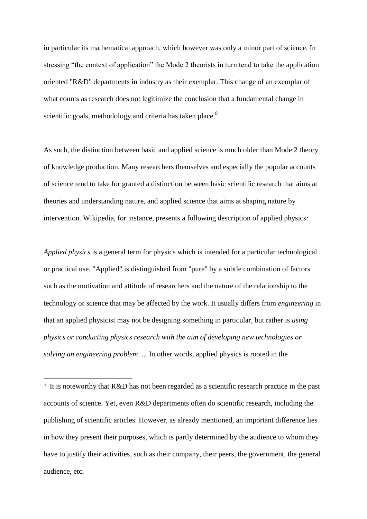in particular its mathematical approach, which however was only a minor part of science. In stressing "the context of application" the Mode 2 theorists in turn tend to take the application oriented "R&D" departments in industry as their exemplar. This change of an exemplar of what counts as research does not legitimize the conclusion that a fundamental change in scientific goals, methodology and criteria has taken place.<sup>8</sup>

As such, the distinction between basic and applied science is much older than Mode 2 theory of knowledge production. Many researchers themselves and especially the popular accounts of science tend to take for granted a distinction between basic scientific research that aims at theories and understanding nature, and applied science that aims at shaping nature by intervention. Wikipedia, for instance, presents a following description of applied physics:

*Applied physics* is a general term for physics which is intended for a particular technological or practical use. "Applied" is distinguished from "pure" by a subtle combination of factors such as the motivation and attitude of researchers and the nature of the relationship to the technology or science that may be affected by the work. It usually differs from *engineering* in that an applied physicist may not be designing something in particular, but rather is *using physics or conducting physics research with the aim of developing new technologies or solving an engineering problem*. ... In other words, applied physics is rooted in the

<sup>8</sup> It is noteworthy that R&D has not been regarded as a scientific research practice in the past accounts of science. Yet, even R&D departments often do scientific research, including the publishing of scientific articles. However, as already mentioned, an important difference lies in how they present their purposes, which is partly determined by the audience to whom they have to justify their activities, such as their company, their peers, the government, the general audience, etc.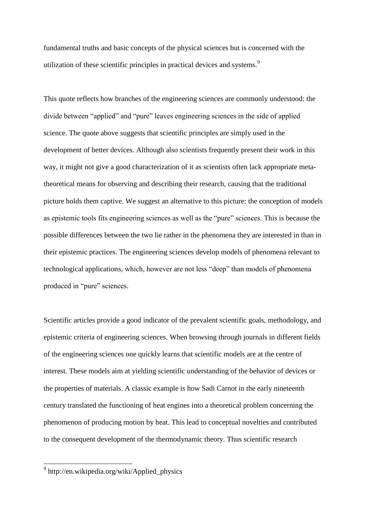fundamental truths and basic concepts of the physical sciences but is concerned with the utilization of these scientific principles in practical devices and systems.<sup>9</sup>

This quote reflects how branches of the engineering sciences are commonly understood: the divide between "applied" and "pure" leaves engineering sciences in the side of applied science. The quote above suggests that scientific principles are simply used in the development of better devices. Although also scientists frequently present their work in this way, it might not give a good characterization of it as scientists often lack appropriate metatheoretical means for observing and describing their research, causing that the traditional picture holds them captive. We suggest an alternative to this picture: the conception of models as epistemic tools fits engineering sciences as well as the "pure" sciences. This is because the possible differences between the two lie rather in the phenomena they are interested in than in their epistemic practices. The engineering sciences develop models of phenomena relevant to technological applications, which, however are not less "deep" than models of phenomena produced in "pure" sciences.

Scientific articles provide a good indicator of the prevalent scientific goals, methodology, and epistemic criteria of engineering sciences. When browsing through journals in different fields of the engineering sciences one quickly learns that scientific models are at the centre of interest. These models aim at yielding scientific understanding of the behavior of devices or the properties of materials. A classic example is how Sadi Carnot in the early nineteenth century translated the functioning of heat engines into a theoretical problem concerning the phenomenon of producing motion by heat. This lead to conceptual novelties and contributed to the consequent development of the thermodynamic theory. Thus scientific research

<sup>&</sup>lt;sup>9</sup> http://en.wikipedia.org/wiki/Applied\_physics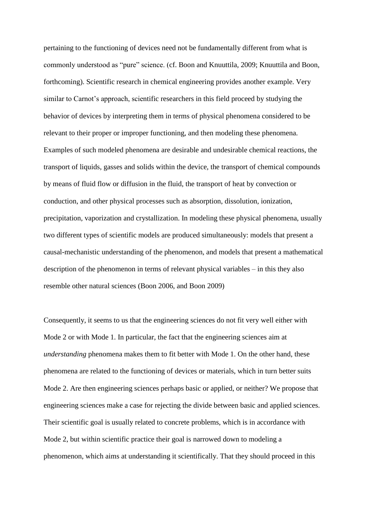pertaining to the functioning of devices need not be fundamentally different from what is commonly understood as "pure" science. (cf. Boon and Knuuttila, 2009; Knuuttila and Boon, forthcoming). Scientific research in chemical engineering provides another example. Very similar to Carnot's approach, scientific researchers in this field proceed by studying the behavior of devices by interpreting them in terms of physical phenomena considered to be relevant to their proper or improper functioning, and then modeling these phenomena. Examples of such modeled phenomena are desirable and undesirable chemical reactions, the transport of liquids, gasses and solids within the device, the transport of chemical compounds by means of fluid flow or diffusion in the fluid, the transport of heat by convection or conduction, and other physical processes such as absorption, dissolution, ionization, precipitation, vaporization and crystallization. In modeling these physical phenomena, usually two different types of scientific models are produced simultaneously: models that present a causal-mechanistic understanding of the phenomenon, and models that present a mathematical description of the phenomenon in terms of relevant physical variables – in this they also resemble other natural sciences (Boon 2006, and Boon 2009)

Consequently, it seems to us that the engineering sciences do not fit very well either with Mode 2 or with Mode 1. In particular, the fact that the engineering sciences aim at *understanding* phenomena makes them to fit better with Mode 1. On the other hand, these phenomena are related to the functioning of devices or materials, which in turn better suits Mode 2. Are then engineering sciences perhaps basic or applied, or neither? We propose that engineering sciences make a case for rejecting the divide between basic and applied sciences. Their scientific goal is usually related to concrete problems, which is in accordance with Mode 2, but within scientific practice their goal is narrowed down to modeling a phenomenon, which aims at understanding it scientifically. That they should proceed in this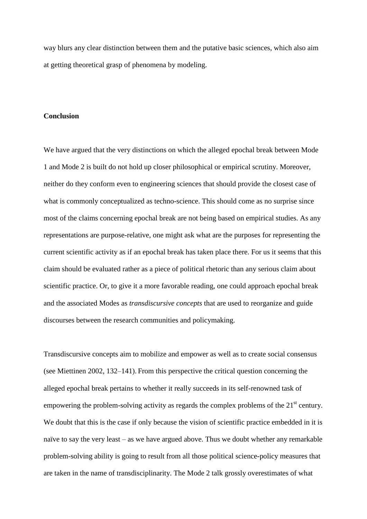way blurs any clear distinction between them and the putative basic sciences, which also aim at getting theoretical grasp of phenomena by modeling.

#### **Conclusion**

We have argued that the very distinctions on which the alleged epochal break between Mode 1 and Mode 2 is built do not hold up closer philosophical or empirical scrutiny. Moreover, neither do they conform even to engineering sciences that should provide the closest case of what is commonly conceptualized as techno-science. This should come as no surprise since most of the claims concerning epochal break are not being based on empirical studies. As any representations are purpose-relative, one might ask what are the purposes for representing the current scientific activity as if an epochal break has taken place there. For us it seems that this claim should be evaluated rather as a piece of political rhetoric than any serious claim about scientific practice. Or, to give it a more favorable reading, one could approach epochal break and the associated Modes as *transdiscursive concepts* that are used to reorganize and guide discourses between the research communities and policymaking.

Transdiscursive concepts aim to mobilize and empower as well as to create social consensus (see Miettinen 2002, 132–141). From this perspective the critical question concerning the alleged epochal break pertains to whether it really succeeds in its self-renowned task of empowering the problem-solving activity as regards the complex problems of the  $21<sup>st</sup>$  century. We doubt that this is the case if only because the vision of scientific practice embedded in it is naïve to say the very least – as we have argued above. Thus we doubt whether any remarkable problem-solving ability is going to result from all those political science-policy measures that are taken in the name of transdisciplinarity. The Mode 2 talk grossly overestimates of what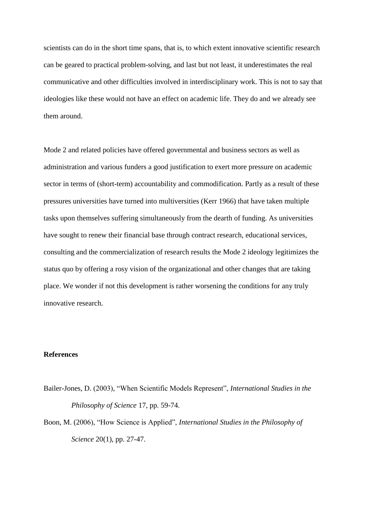scientists can do in the short time spans, that is, to which extent innovative scientific research can be geared to practical problem-solving, and last but not least, it underestimates the real communicative and other difficulties involved in interdisciplinary work. This is not to say that ideologies like these would not have an effect on academic life. They do and we already see them around.

Mode 2 and related policies have offered governmental and business sectors as well as administration and various funders a good justification to exert more pressure on academic sector in terms of (short-term) accountability and commodification. Partly as a result of these pressures universities have turned into multiversities (Kerr 1966) that have taken multiple tasks upon themselves suffering simultaneously from the dearth of funding. As universities have sought to renew their financial base through contract research, educational services, consulting and the commercialization of research results the Mode 2 ideology legitimizes the status quo by offering a rosy vision of the organizational and other changes that are taking place. We wonder if not this development is rather worsening the conditions for any truly innovative research.

### **References**

- Bailer-Jones, D. (2003), "When Scientific Models Represent", *International Studies in the Philosophy of Science* 17, pp. 59-74.
- Boon, M. (2006), "How Science is Applied", *International Studies in the Philosophy of Science* 20(1), pp. 27-47.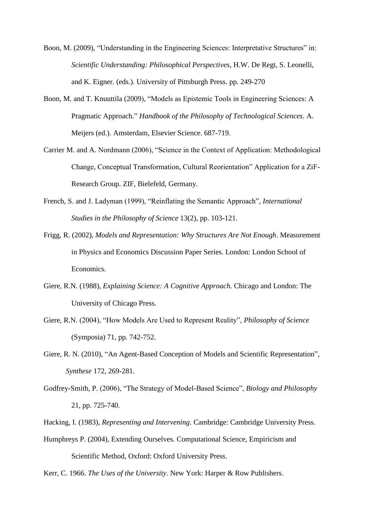- Boon, M. (2009), "Understanding in the Engineering Sciences: Interpretative Structures" in: *Scientific Understanding: Philosophical Perspectives*, H.W. De Regt, S. Leonelli, and K. Eigner. (eds.). University of Pittsburgh Press. pp. 249-270
- Boon, M. and T. Knuuttila (2009), "Models as Epistemic Tools in Engineering Sciences: A Pragmatic Approach.‖ *Handbook of the Philosophy of Technological Sciences*. A. Meijers (ed.). Amsterdam, Elsevier Science. 687-719.
- Carrier M. and A. Nordmann (2006), "Science in the Context of Application: Methodological Change, Conceptual Transformation, Cultural Reorientation" Application for a ZiF-Research Group. ZIF, Bielefeld, Germany.
- French, S. and J. Ladyman (1999), "Reinflating the Semantic Approach", *International Studies in the Philosophy of Science* 13(2), pp. 103-121.
- Frigg, R. (2002), *Models and Representation: Why Structures Are Not Enough*. Measurement in Physics and Economics Discussion Paper Series. London: London School of Economics.
- Giere, R.N. (1988), *Explaining Science: A Cognitive Approach.* Chicago and London: The University of Chicago Press.
- Giere, R.N. (2004), "How Models Are Used to Represent Reality", *Philosophy of Science* (Symposia) 71, pp. 742-752.
- Giere, R. N. (2010), "An Agent-Based Conception of Models and Scientific Representation", *Synthese* 172, 269-281.
- Godfrey-Smith, P. (2006), "The Strategy of Model-Based Science", *Biology and Philosophy* 21, pp. 725-740.
- Hacking, I. (1983), *Representing and Intervening*. Cambridge: Cambridge University Press.
- Humphreys P. (2004), Extending Ourselves. Computational Science, Empiricism and Scientific Method, Oxford: Oxford University Press.

Kerr, C. 1966. *The Uses of the University*. New York: Harper & Row Publishers.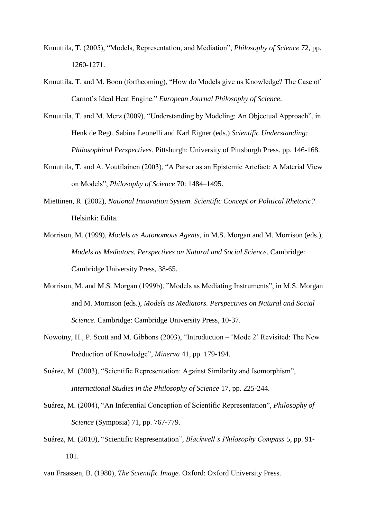- Knuuttila, T. (2005), "Models, Representation, and Mediation", *Philosophy of Science* 72, pp. 1260-1271.
- Knuuttila, T. and M. Boon (forthcoming), "How do Models give us Knowledge? The Case of Carnot's Ideal Heat Engine." *European Journal Philosophy of Science*.
- Knuuttila, T. and M. Merz (2009), "Understanding by Modeling: An Objectual Approach", in Henk de Regt, Sabina Leonelli and Karl Eigner (eds.) *Scientific Understanding: Philosophical Perspectives*. Pittsburgh: University of Pittsburgh Press. pp. 146-168.
- Knuuttila, T. and A. Voutilainen (2003), "A Parser as an Epistemic Artefact: A Material View on Models‖, *Philosophy of Science* 70: 1484–1495.
- Miettinen, R. (2002), *National Innovation System. Scientific Concept or Political Rhetoric?* Helsinki: Edita.
- Morrison, M. (1999), *Models as Autonomous Agents*, in M.S. Morgan and M. Morrison (eds.), *Models as Mediators. Perspectives on Natural and Social Science*. Cambridge: Cambridge University Press, 38-65.
- Morrison, M. and M.S. Morgan (1999b), "Models as Mediating Instruments", in M.S. Morgan and M. Morrison (eds.), *Models as Mediators. Perspectives on Natural and Social Science*. Cambridge: Cambridge University Press, 10-37.
- Nowotny, H., P. Scott and M. Gibbons (2003), "Introduction 'Mode 2' Revisited: The New Production of Knowledge", *Minerva* 41, pp. 179-194.
- Suárez, M. (2003), "Scientific Representation: Against Similarity and Isomorphism", *International Studies in the Philosophy of Science* 17, pp. 225-244.
- Suárez, M. (2004), "An Inferential Conception of Scientific Representation", *Philosophy of Science* (Symposia) 71, pp. 767-779.
- Suárez, M. (2010), "Scientific Representation", *Blackwell's Philosophy Compass* 5, pp. 91-101.
- van Fraassen, B. (1980), *The Scientific Image.* Oxford: Oxford University Press.